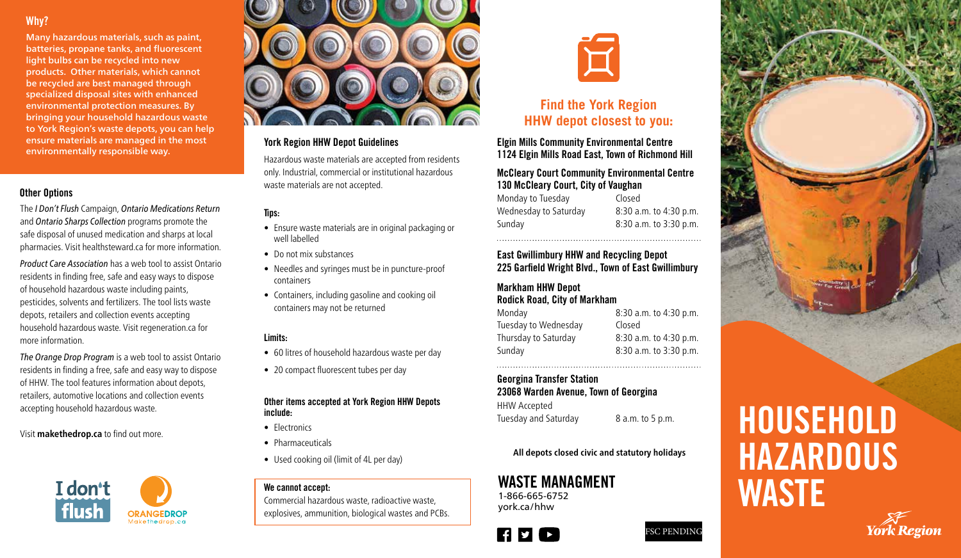## Why?

Many hazardous materials, such as paint, batteries, propane tanks, and fluorescent light bulbs can be recycled into new products. Other materials, which cannot be recycled are best managed through specialized disposal sites with enhanced environmental protection measures. By bringing your household hazardous waste to York Region's waste depots, you can help ensure materials are managed in the most environmentally responsible way.

#### Other Options

The *I Don't Flush* Campaign, *Ontario Medications Return* and *Ontario Sharps Collection* programs promote the safe disposal of unused medication and sharps at local pharmacies. Visit healthsteward.ca for more information.

*Product Care Association* has a web tool to assist Ontario residents in finding free, safe and easy ways to dispose of household hazardous waste including paints, pesticides, solvents and fertilizers. The tool lists waste depots, retailers and collection events accepting household hazardous waste. Visit regeneration.ca for more information.

*The Orange Drop Program* is a web tool to assist Ontario residents in finding a free, safe and easy way to dispose of HHW. The tool features information about depots, retailers, automotive locations and collection events accepting household hazardous waste.

Visit **makethedrop.ca** to find out more.





#### York Region HHW Depot Guidelines

Hazardous waste materials are accepted from residents only. Industrial, commercial or institutional hazardous waste materials are not accepted.

### Tips:

- Ensure waste materials are in original packaging or well labelled
- Do not mix substances
- Needles and syringes must be in puncture-proof containers
- Containers, including gasoline and cooking oil containers may not be returned

#### Limits:

- 60 litres of household hazardous waste per day
- 20 compact fluorescent tubes per day

#### Other items accepted at York Region HHW Depots include:

- Electronics
- Pharmaceuticals
- Used cooking oil (limit of 4L per day)

#### We cannot accept:

Commercial hazardous waste, radioactive waste, explosives, ammunition, biological wastes and PCBs.



# **Find the York Region HHW depot closest to you:**

Elgin Mills Community Environmental Centre 1124 Elgin Mills Road East, Town of Richmond Hill

#### McCleary Court Community Environmental Centre 130 McCleary Court, City of Vaughan

Monday to Tuesday Closed Wednesday to Saturday 8:30 a.m. to 4:30 p.m. Sunday 8:30 a.m. to 3:30 p.m.

#### East Gwillimbury HHW and Recycling Depot 225 Garfield Wright Blvd., Town of East Gwillimbury

#### Markham HHW Depot Rodick Road, City of Markham

Tuesday to Wednesday Closed Thursday to Saturday 8:30 a.m. to 4:30 p.m. Sunday 8:30 a.m. to 3:30 p.m.

Monday 8:30 a.m. to 4:30 p.m.

#### Georgina Transfer Station 23068 Warden Avenue, Town of Georgina

HHW Accepted Tuesday and Saturday 8 a.m. to 5 p.m.

**All depots closed civic and statutory holidays**

1-866-665-6752 york.ca/hhw





# HOUSEHOLD **HAZARDOUS** WASTE MANAGMENT<br>1-866-665-6752<br>waster (thrus